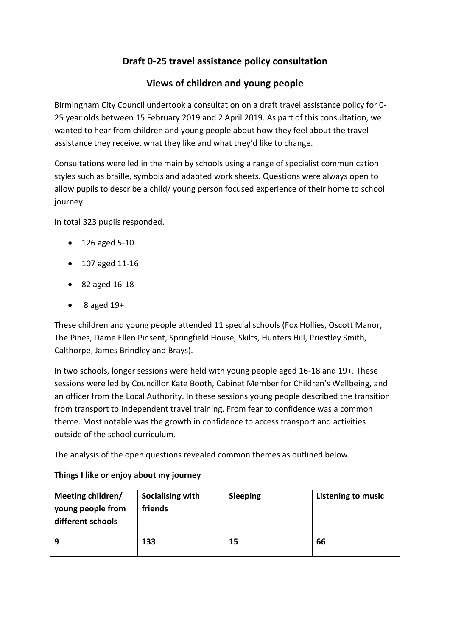# **Draft 0-25 travel assistance policy consultation**

## **Views of children and young people**

Birmingham City Council undertook a consultation on a draft travel assistance policy for 0- 25 year olds between 15 February 2019 and 2 April 2019. As part of this consultation, we wanted to hear from children and young people about how they feel about the travel assistance they receive, what they like and what they'd like to change.

Consultations were led in the main by schools using a range of specialist communication styles such as braille, symbols and adapted work sheets. Questions were always open to allow pupils to describe a child/ young person focused experience of their home to school journey.

In total 323 pupils responded.

- 126 aged 5-10
- 107 aged 11-16
- 82 aged 16-18
- $\bullet$  8 aged 19+

These children and young people attended 11 special schools (Fox Hollies, Oscott Manor, The Pines, Dame Ellen Pinsent, Springfield House, Skilts, Hunters Hill, Priestley Smith, Calthorpe, James Brindley and Brays).

In two schools, longer sessions were held with young people aged 16-18 and 19+. These sessions were led by Councillor Kate Booth, Cabinet Member for Children's Wellbeing, and an officer from the Local Authority. In these sessions young people described the transition from transport to Independent travel training. From fear to confidence was a common theme. Most notable was the growth in confidence to access transport and activities outside of the school curriculum.

The analysis of the open questions revealed common themes as outlined below.

| Meeting children/<br>young people from<br>different schools | Socialising with<br>friends | <b>Sleeping</b> | Listening to music |
|-------------------------------------------------------------|-----------------------------|-----------------|--------------------|
| 9                                                           | 133                         | 15              | 66                 |

### **Things I like or enjoy about my journey**